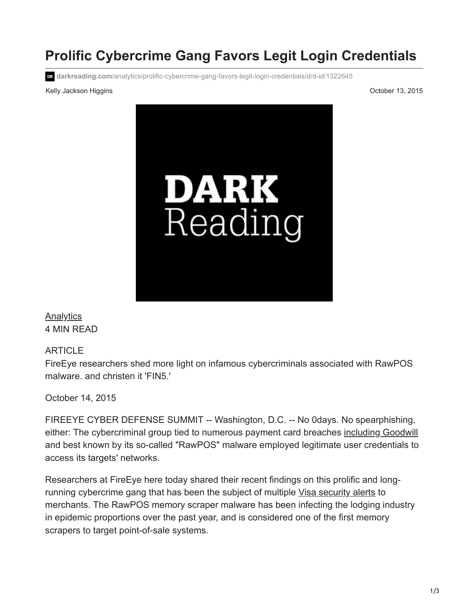# **Prolific Cybercrime Gang Favors Legit Login Credentials**

**darkreading.com**[/analytics/prolific-cybercrime-gang-favors-legit-login-credentials/d/d-id/1322645](https://www.darkreading.com/analytics/prolific-cybercrime-gang-favors-legit-login-credentials/d/d-id/1322645?)

#### Kelly Jackson Higgins **New York Controller Studies and Security** Corresponding to the Corresponding Corresponding to the October 13, 2015

[Analytics](https://www.darkreading.com/analytics) 4 MIN READ

## ARTICLE

FireEye researchers shed more light on infamous cybercriminals associated with RawPOS malware. and christen it 'FIN5.'

October 14, 2015

FIREEYE CYBER DEFENSE SUMMIT -- Washington, D.C. -- No 0days. No spearphishing, either: The cybercriminal group tied to numerous payment card breaches [including Goodwill](http://www.darkreading.com/backoff-not-to-blame-for-goodwill-breach/d/d-id/1306963) and best known by its so-called "RawPOS" malware employed legitimate user credentials to access its targets' networks.

Researchers at FireEye here today shared their recent findings on this prolific and long-running cybercrime gang that has been the subject of multiple [Visa security alerts](http://monerisusa.com/support/~/media/pdf/Alert-RawPOS-032015.ashx) to merchants. The RawPOS memory scraper malware has been infecting the lodging industry in epidemic proportions over the past year, and is considered one of the first memory scrapers to target point-of-sale systems.

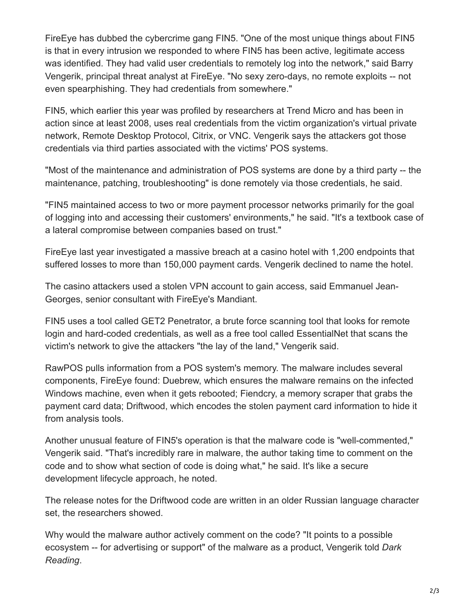FireEye has dubbed the cybercrime gang FIN5. "One of the most unique things about FIN5 is that in every intrusion we responded to where FIN5 has been active, legitimate access was identified. They had valid user credentials to remotely log into the network," said Barry Vengerik, principal threat analyst at FireEye. "No sexy zero-days, no remote exploits -- not even spearphishing. They had credentials from somewhere."

FIN5, which earlier this year was profiled by researchers at Trend Micro and has been in action since at least 2008, uses real credentials from the victim organization's virtual private network, Remote Desktop Protocol, Citrix, or VNC. Vengerik says the attackers got those credentials via third parties associated with the victims' POS systems.

"Most of the maintenance and administration of POS systems are done by a third party -- the maintenance, patching, troubleshooting" is done remotely via those credentials, he said.

"FIN5 maintained access to two or more payment processor networks primarily for the goal of logging into and accessing their customers' environments," he said. "It's a textbook case of a lateral compromise between companies based on trust."

FireEye last year investigated a massive breach at a casino hotel with 1,200 endpoints that suffered losses to more than 150,000 payment cards. Vengerik declined to name the hotel.

The casino attackers used a stolen VPN account to gain access, said Emmanuel Jean-Georges, senior consultant with FireEye's Mandiant.

FIN5 uses a tool called GET2 Penetrator, a brute force scanning tool that looks for remote login and hard-coded credentials, as well as a free tool called EssentialNet that scans the victim's network to give the attackers "the lay of the land," Vengerik said.

RawPOS pulls information from a POS system's memory. The malware includes several components, FireEye found: Duebrew, which ensures the malware remains on the infected Windows machine, even when it gets rebooted; Fiendcry, a memory scraper that grabs the payment card data; Driftwood, which encodes the stolen payment card information to hide it from analysis tools.

Another unusual feature of FIN5's operation is that the malware code is "well-commented," Vengerik said. "That's incredibly rare in malware, the author taking time to comment on the code and to show what section of code is doing what," he said. It's like a secure development lifecycle approach, he noted.

The release notes for the Driftwood code are written in an older Russian language character set, the researchers showed.

Why would the malware author actively comment on the code? "It points to a possible ecosystem -- for advertising or support" of the malware as a product, Vengerik told *Dark Reading*.